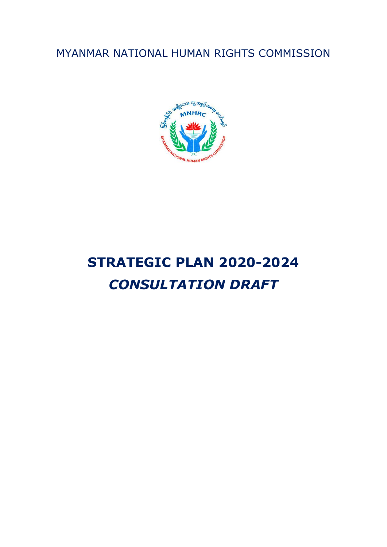MYANMAR NATIONAL HUMAN RIGHTS COMMISSION



# **STRATEGIC PLAN 2020-2024** *CONSULTATION DRAFT*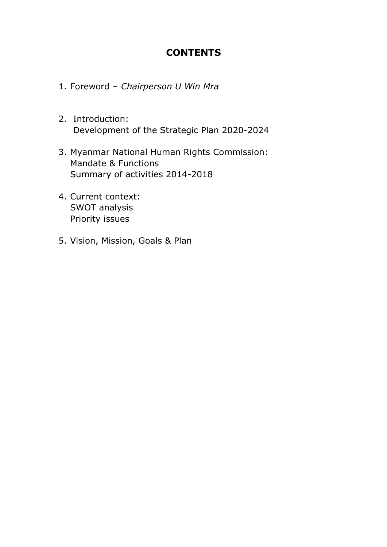#### **CONTENTS**

- 1. Foreword *Chairperson U Win Mra*
- 2. Introduction: Development of the Strategic Plan 2020-2024
- 3. Myanmar National Human Rights Commission: Mandate & Functions Summary of activities 2014-2018
- 4. Current context: SWOT analysis Priority issues
- 5. Vision, Mission, Goals & Plan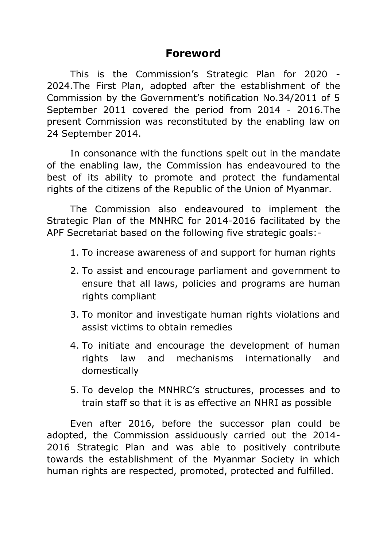### **Foreword**

This is the Commission's Strategic Plan for 2020 - 2024.The First Plan, adopted after the establishment of the Commission by the Government's notification No.34/2011 of 5 September 2011 covered the period from 2014 - 2016.The present Commission was reconstituted by the enabling law on 24 September 2014.

In consonance with the functions spelt out in the mandate of the enabling law, the Commission has endeavoured to the best of its ability to promote and protect the fundamental rights of the citizens of the Republic of the Union of Myanmar.

The Commission also endeavoured to implement the Strategic Plan of the MNHRC for 2014-2016 facilitated by the APF Secretariat based on the following five strategic goals:-

- 1. To increase awareness of and support for human rights
- 2. To assist and encourage parliament and government to ensure that all laws, policies and programs are human rights compliant
- 3. To monitor and investigate human rights violations and assist victims to obtain remedies
- 4. To initiate and encourage the development of human rights law and mechanisms internationally and domestically
- 5. To develop the MNHRC's structures, processes and to train staff so that it is as effective an NHRI as possible

Even after 2016, before the successor plan could be adopted, the Commission assiduously carried out the 2014- 2016 Strategic Plan and was able to positively contribute towards the establishment of the Myanmar Society in which human rights are respected, promoted, protected and fulfilled.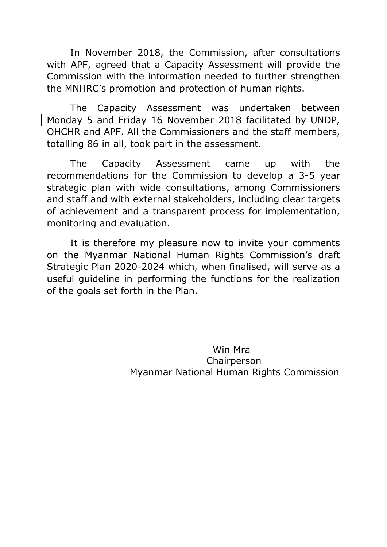In November 2018, the Commission, after consultations with APF, agreed that a Capacity Assessment will provide the Commission with the information needed to further strengthen the MNHRC's promotion and protection of human rights.

The Capacity Assessment was undertaken between Monday 5 and Friday 16 November 2018 facilitated by UNDP, OHCHR and APF. All the Commissioners and the staff members, totalling 86 in all, took part in the assessment.

The Capacity Assessment came up with the recommendations for the Commission to develop a 3-5 year strategic plan with wide consultations, among Commissioners and staff and with external stakeholders, including clear targets of achievement and a transparent process for implementation, monitoring and evaluation.

It is therefore my pleasure now to invite your comments on the Myanmar National Human Rights Commission's draft Strategic Plan 2020-2024 which, when finalised, will serve as a useful guideline in performing the functions for the realization of the goals set forth in the Plan.

> Win Mra Chairperson Myanmar National Human Rights Commission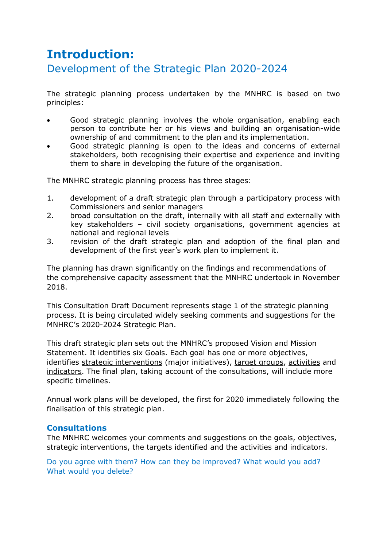## **Introduction:** Development of the Strategic Plan 2020-2024

The strategic planning process undertaken by the MNHRC is based on two principles:

- Good strategic planning involves the whole organisation, enabling each person to contribute her or his views and building an organisation-wide ownership of and commitment to the plan and its implementation.
- Good strategic planning is open to the ideas and concerns of external stakeholders, both recognising their expertise and experience and inviting them to share in developing the future of the organisation.

The MNHRC strategic planning process has three stages:

- 1. development of a draft strategic plan through a participatory process with Commissioners and senior managers
- 2. broad consultation on the draft, internally with all staff and externally with key stakeholders – civil society organisations, government agencies at national and regional levels
- 3. revision of the draft strategic plan and adoption of the final plan and development of the first year's work plan to implement it.

The planning has drawn significantly on the findings and recommendations of the comprehensive capacity assessment that the MNHRC undertook in November 2018.

This Consultation Draft Document represents stage 1 of the strategic planning process. It is being circulated widely seeking comments and suggestions for the MNHRC's 2020-2024 Strategic Plan.

This draft strategic plan sets out the MNHRC's proposed Vision and Mission Statement. It identifies six Goals. Each goal has one or more objectives, identifies strategic interventions (major initiatives), target groups, activities and indicators. The final plan, taking account of the consultations, will include more specific timelines.

Annual work plans will be developed, the first for 2020 immediately following the finalisation of this strategic plan.

#### **Consultations**

The MNHRC welcomes your comments and suggestions on the goals, objectives, strategic interventions, the targets identified and the activities and indicators.

Do you agree with them? How can they be improved? What would you add? What would you delete?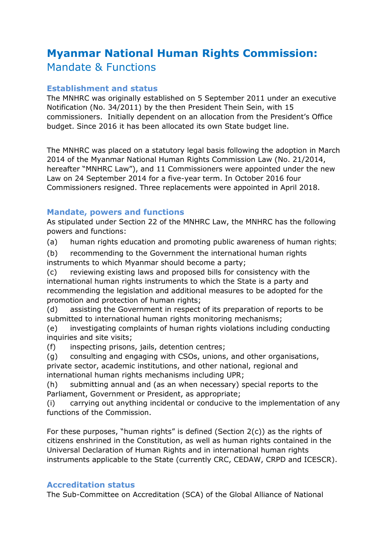## **Myanmar National Human Rights Commission:** Mandate & Functions

#### **Establishment and status**

The MNHRC was originally established on 5 September 2011 under an executive Notification (No. 34/2011) by the then President Thein Sein, with 15 commissioners. Initially dependent on an allocation from the President's Office budget. Since 2016 it has been allocated its own State budget line.

The MNHRC was placed on a statutory legal basis following the adoption in March 2014 of the Myanmar National Human Rights Commission Law (No. 21/2014, hereafter "MNHRC Law"), and 11 Commissioners were appointed under the new Law on 24 September 2014 for a five-year term. In October 2016 four Commissioners resigned. Three replacements were appointed in April 2018.

#### **Mandate, powers and functions**

As stipulated under Section 22 of the MNHRC Law, the MNHRC has the following powers and functions:

(a) human rights education and promoting public awareness of human rights;

(b) recommending to the Government the international human rights instruments to which Myanmar should become a party;

(c) reviewing existing laws and proposed bills for consistency with the international human rights instruments to which the State is a party and recommending the legislation and additional measures to be adopted for the promotion and protection of human rights;

(d) assisting the Government in respect of its preparation of reports to be submitted to international human rights monitoring mechanisms;

(e) investigating complaints of human rights violations including conducting inquiries and site visits;

(f) inspecting prisons, jails, detention centres;

(g) consulting and engaging with CSOs, unions, and other organisations, private sector, academic institutions, and other national, regional and international human rights mechanisms including UPR;

(h) submitting annual and (as an when necessary) special reports to the Parliament, Government or President, as appropriate;

(i) carrying out anything incidental or conducive to the implementation of any functions of the Commission.

For these purposes, "human rights" is defined (Section 2(c)) as the rights of citizens enshrined in the Constitution, as well as human rights contained in the Universal Declaration of Human Rights and in international human rights instruments applicable to the State (currently CRC, CEDAW, CRPD and ICESCR).

#### **Accreditation status**

The Sub-Committee on Accreditation (SCA) of the Global Alliance of National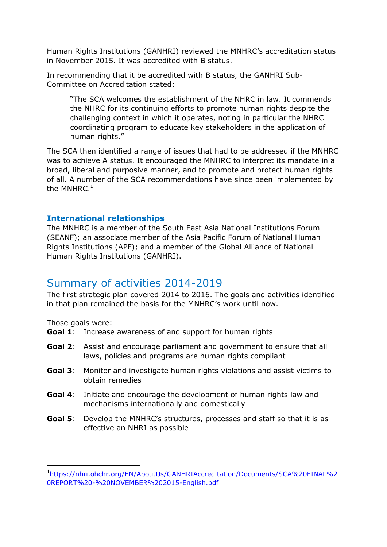Human Rights Institutions (GANHRI) reviewed the MNHRC's accreditation status in November 2015. It was accredited with B status.

In recommending that it be accredited with B status, the GANHRI Sub-Committee on Accreditation stated:

"The SCA welcomes the establishment of the NHRC in law. It commends the NHRC for its continuing efforts to promote human rights despite the challenging context in which it operates, noting in particular the NHRC coordinating program to educate key stakeholders in the application of human rights."

The SCA then identified a range of issues that had to be addressed if the MNHRC was to achieve A status. It encouraged the MNHRC to interpret its mandate in a broad, liberal and purposive manner, and to promote and protect human rights of all. A number of the SCA recommendations have since been implemented by the MNHRC. $<sup>1</sup>$ </sup>

#### **International relationships**

The MNHRC is a member of the South East Asia National Institutions Forum (SEANF); an associate member of the Asia Pacific Forum of National Human Rights Institutions (APF); and a member of the Global Alliance of National Human Rights Institutions (GANHRI).

#### Summary of activities 2014-2019

The first strategic plan covered 2014 to 2016. The goals and activities identified in that plan remained the basis for the MNHRC's work until now.

Those goals were:

-

- **Goal 1**: Increase awareness of and support for human rights
- **Goal 2**: Assist and encourage parliament and government to ensure that all laws, policies and programs are human rights compliant
- **Goal 3**: Monitor and investigate human rights violations and assist victims to obtain remedies
- **Goal 4**: Initiate and encourage the development of human rights law and mechanisms internationally and domestically
- **Goal 5**: Develop the MNHRC's structures, processes and staff so that it is as effective an NHRI as possible

<sup>1</sup> [https://nhri.ohchr.org/EN/AboutUs/GANHRIAccreditation/Documents/SCA%20FINAL%2](https://nhri.ohchr.org/EN/AboutUs/GANHRIAccreditation/Documents/SCA%20FINAL%20REPORT%20-%20NOVEMBER%202015-English.pdf) [0REPORT%20-%20NOVEMBER%202015-English.pdf](https://nhri.ohchr.org/EN/AboutUs/GANHRIAccreditation/Documents/SCA%20FINAL%20REPORT%20-%20NOVEMBER%202015-English.pdf)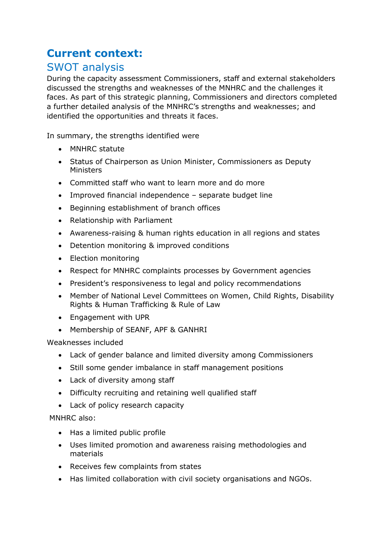## **Current context:**

## SWOT analysis

During the capacity assessment Commissioners, staff and external stakeholders discussed the strengths and weaknesses of the MNHRC and the challenges it faces. As part of this strategic planning, Commissioners and directors completed a further detailed analysis of the MNHRC's strengths and weaknesses; and identified the opportunities and threats it faces.

In summary, the strengths identified were

- MNHRC statute
- Status of Chairperson as Union Minister, Commissioners as Deputy Ministers
- Committed staff who want to learn more and do more
- Improved financial independence separate budget line
- Beginning establishment of branch offices
- Relationship with Parliament
- Awareness-raising & human rights education in all regions and states
- Detention monitoring & improved conditions
- Election monitoring
- Respect for MNHRC complaints processes by Government agencies
- President's responsiveness to legal and policy recommendations
- Member of National Level Committees on Women, Child Rights, Disability Rights & Human Trafficking & Rule of Law
- Engagement with UPR
- Membership of SEANF, APF & GANHRI

Weaknesses included

- Lack of gender balance and limited diversity among Commissioners
- Still some gender imbalance in staff management positions
- Lack of diversity among staff
- Difficulty recruiting and retaining well qualified staff
- Lack of policy research capacity

#### MNHRC also:

- Has a limited public profile
- Uses limited promotion and awareness raising methodologies and materials
- Receives few complaints from states
- Has limited collaboration with civil society organisations and NGOs.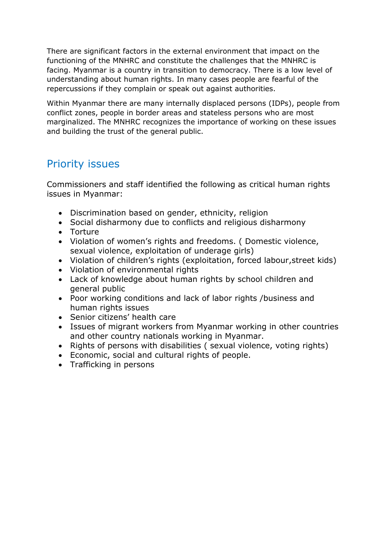There are significant factors in the external environment that impact on the functioning of the MNHRC and constitute the challenges that the MNHRC is facing. Myanmar is a country in transition to democracy. There is a low level of understanding about human rights. In many cases people are fearful of the repercussions if they complain or speak out against authorities.

Within Myanmar there are many internally displaced persons (IDPs), people from conflict zones, people in border areas and stateless persons who are most marginalized. The MNHRC recognizes the importance of working on these issues and building the trust of the general public.

### Priority issues

Commissioners and staff identified the following as critical human rights issues in Myanmar:

- Discrimination based on gender, ethnicity, religion
- Social disharmony due to conflicts and religious disharmony
- Torture
- Violation of women's rights and freedoms. ( Domestic violence, sexual violence, exploitation of underage girls)
- Violation of children's rights (exploitation, forced labour,street kids)
- Violation of environmental rights
- Lack of knowledge about human rights by school children and general public
- Poor working conditions and lack of labor rights /business and human rights issues
- Senior citizens' health care
- Issues of migrant workers from Myanmar working in other countries and other country nationals working in Myanmar.
- Rights of persons with disabilities (sexual violence, voting rights)
- Economic, social and cultural rights of people.
- Trafficking in persons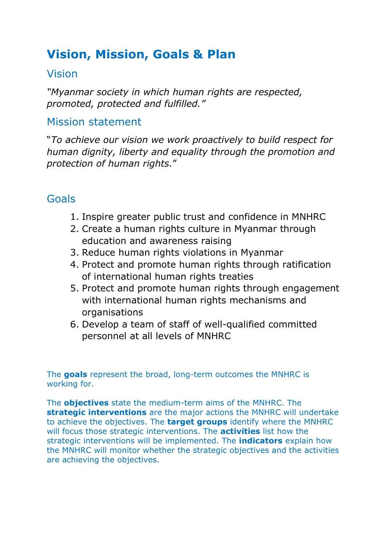## **Vision, Mission, Goals & Plan**

### Vision

*"Myanmar society in which human rights are respected, promoted, protected and fulfilled."*

### Mission statement

"*To achieve our vision we work proactively to build respect for human dignity, liberty and equality through the promotion and protection of human rights.*"

## Goals

- 1. Inspire greater public trust and confidence in MNHRC
- 2. Create a human rights culture in Myanmar through education and awareness raising
- 3. Reduce human rights violations in Myanmar
- 4. Protect and promote human rights through ratification of international human rights treaties
- 5. Protect and promote human rights through engagement with international human rights mechanisms and organisations
- 6. Develop a team of staff of well-qualified committed personnel at all levels of MNHRC

The **goals** represent the broad, long-term outcomes the MNHRC is working for.

The **objectives** state the medium-term aims of the MNHRC. The **strategic interventions** are the major actions the MNHRC will undertake to achieve the objectives. The **target groups** identify where the MNHRC will focus those strategic interventions. The **activities** list how the strategic interventions will be implemented. The **indicators** explain how the MNHRC will monitor whether the strategic objectives and the activities are achieving the objectives.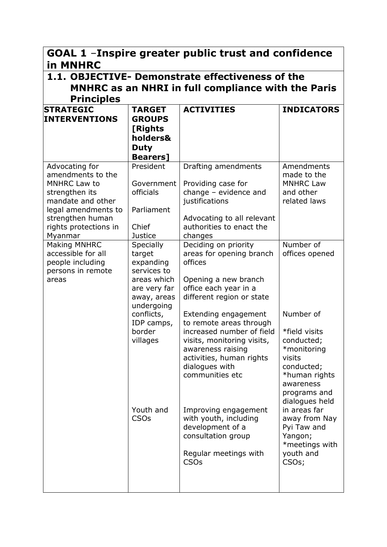| GOAL 1 -Inspire greater public trust and confidence<br>in MNHRC                                                                                                           |                                                                                                                                                                                           |                                                                                                                                                                                                                                                                                                                                                                                                                                                                                  |                                                                                                                                                                                                                                                                                                |  |  |  |
|---------------------------------------------------------------------------------------------------------------------------------------------------------------------------|-------------------------------------------------------------------------------------------------------------------------------------------------------------------------------------------|----------------------------------------------------------------------------------------------------------------------------------------------------------------------------------------------------------------------------------------------------------------------------------------------------------------------------------------------------------------------------------------------------------------------------------------------------------------------------------|------------------------------------------------------------------------------------------------------------------------------------------------------------------------------------------------------------------------------------------------------------------------------------------------|--|--|--|
| <b>Principles</b>                                                                                                                                                         | 1.1. OBJECTIVE- Demonstrate effectiveness of the<br><b>MNHRC as an NHRI in full compliance with the Paris</b>                                                                             |                                                                                                                                                                                                                                                                                                                                                                                                                                                                                  |                                                                                                                                                                                                                                                                                                |  |  |  |
| <b>STRATEGIC</b><br><b>INTERVENTIONS</b>                                                                                                                                  | <b>TARGET</b><br><b>GROUPS</b><br>[Rights<br>holders&<br><b>Duty</b><br><b>Bearers</b> ]                                                                                                  | <b>ACTIVITIES</b>                                                                                                                                                                                                                                                                                                                                                                                                                                                                | <b>INDICATORS</b>                                                                                                                                                                                                                                                                              |  |  |  |
| Advocating for<br>amendments to the<br>MNHRC Law to<br>strengthen its<br>mandate and other<br>legal amendments to<br>strengthen human<br>rights protections in<br>Myanmar | President<br>Government<br>officials<br>Parliament<br>Chief<br><b>Justice</b>                                                                                                             | Drafting amendments<br>Providing case for<br>change - evidence and<br>justifications<br>Advocating to all relevant<br>authorities to enact the<br>changes                                                                                                                                                                                                                                                                                                                        | Amendments<br>made to the<br><b>MNHRC Law</b><br>and other<br>related laws                                                                                                                                                                                                                     |  |  |  |
| Making MNHRC<br>accessible for all<br>people including<br>persons in remote<br>areas                                                                                      | Specially<br>target<br>expanding<br>services to<br>areas which<br>are very far<br>away, areas<br>undergoing<br>conflicts,<br>IDP camps,<br>border<br>villages<br>Youth and<br><b>CSOs</b> | Deciding on priority<br>areas for opening branch<br>offices<br>Opening a new branch<br>office each year in a<br>different region or state<br>Extending engagement<br>to remote areas through<br>increased number of field<br>visits, monitoring visits,<br>awareness raising<br>activities, human rights<br>dialogues with<br>communities etc<br>Improving engagement<br>with youth, including<br>development of a<br>consultation group<br>Regular meetings with<br><b>CSOs</b> | Number of<br>offices opened<br>Number of<br>*field visits<br>conducted;<br>*monitoring<br>visits<br>conducted;<br>*human rights<br>awareness<br>programs and<br>dialogues held<br>in areas far<br>away from Nay<br>Pyi Taw and<br>Yangon;<br>*meetings with<br>youth and<br>CSO <sub>s</sub> ; |  |  |  |
|                                                                                                                                                                           |                                                                                                                                                                                           |                                                                                                                                                                                                                                                                                                                                                                                                                                                                                  |                                                                                                                                                                                                                                                                                                |  |  |  |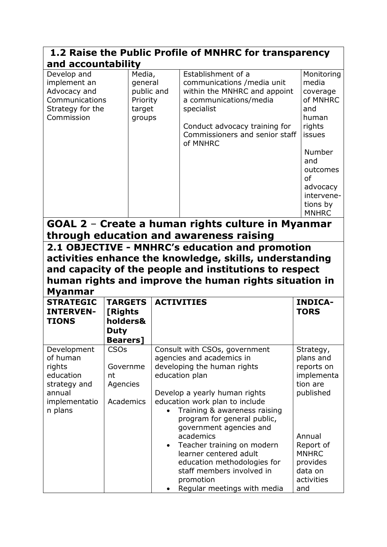| 1.2 Raise the Public Profile of MNHRC for transparency                                               |                                                                          |                                                                                                                                                                                                                                                                                                                                                                                                                                                                    |                                                                                                                                                                |  |  |
|------------------------------------------------------------------------------------------------------|--------------------------------------------------------------------------|--------------------------------------------------------------------------------------------------------------------------------------------------------------------------------------------------------------------------------------------------------------------------------------------------------------------------------------------------------------------------------------------------------------------------------------------------------------------|----------------------------------------------------------------------------------------------------------------------------------------------------------------|--|--|
|                                                                                                      | and accountability                                                       |                                                                                                                                                                                                                                                                                                                                                                                                                                                                    |                                                                                                                                                                |  |  |
| Develop and<br>implement an<br>Advocacy and<br>Communications<br>Strategy for the<br>Commission      | Media,<br>general<br>public and<br>Priority<br>target<br>groups          | Establishment of a<br>communications / media unit<br>within the MNHRC and appoint<br>a communications/media<br>specialist<br>Conduct advocacy training for<br>Commissioners and senior staff<br>of MNHRC                                                                                                                                                                                                                                                           | Monitoring<br>media<br>coverage<br>of MNHRC<br>and<br>human<br>rights<br>issues<br>Number<br>and                                                               |  |  |
|                                                                                                      |                                                                          |                                                                                                                                                                                                                                                                                                                                                                                                                                                                    | outcomes<br><b>of</b><br>advocacy<br>intervene-<br>tions by<br><b>MNHRC</b>                                                                                    |  |  |
|                                                                                                      |                                                                          | GOAL 2 - Create a human rights culture in Myanmar<br>through education and awareness raising                                                                                                                                                                                                                                                                                                                                                                       |                                                                                                                                                                |  |  |
| <b>Myanmar</b>                                                                                       |                                                                          | 2.1 OBJECTIVE - MNHRC's education and promotion<br>activities enhance the knowledge, skills, understanding<br>and capacity of the people and institutions to respect<br>human rights and improve the human rights situation in                                                                                                                                                                                                                                     |                                                                                                                                                                |  |  |
| <b>STRATEGIC</b><br><b>INTERVEN-</b><br><b>TIONS</b>                                                 | <b>TARGETS</b><br>[Rights<br>holders&<br><b>Duty</b><br><b>Bearers</b> ] | <b>ACTIVITIES</b>                                                                                                                                                                                                                                                                                                                                                                                                                                                  | <b>INDICA-</b><br><b>TORS</b>                                                                                                                                  |  |  |
| Development<br>of human<br>rights<br>education<br>strategy and<br>annual<br>implementatio<br>n plans | <b>CSOs</b><br>Governme<br>nt<br>Agencies<br>Academics                   | Consult with CSOs, government<br>agencies and academics in<br>developing the human rights<br>education plan<br>Develop a yearly human rights<br>education work plan to include<br>Training & awareness raising<br>program for general public,<br>government agencies and<br>academics<br>Teacher training on modern<br>$\bullet$<br>learner centered adult<br>education methodologies for<br>staff members involved in<br>promotion<br>Regular meetings with media | Strategy,<br>plans and<br>reports on<br>implementa<br>tion are<br>published<br>Annual<br>Report of<br><b>MNHRC</b><br>provides<br>data on<br>activities<br>and |  |  |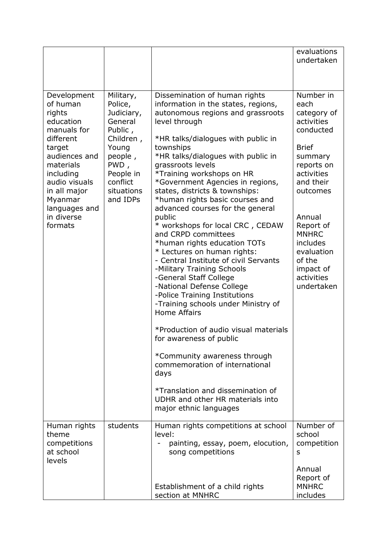|                                                                                                                                                                                                                       |                                                                                                                                                      |                                                                                                                                                                                                                                                                                                                                                                                                                                                                                                                                                                                                                                                                                                                                                                                                                                                                                                                                                                                                                                      | evaluations<br>undertaken                                                                                                                                                                                                                                       |
|-----------------------------------------------------------------------------------------------------------------------------------------------------------------------------------------------------------------------|------------------------------------------------------------------------------------------------------------------------------------------------------|--------------------------------------------------------------------------------------------------------------------------------------------------------------------------------------------------------------------------------------------------------------------------------------------------------------------------------------------------------------------------------------------------------------------------------------------------------------------------------------------------------------------------------------------------------------------------------------------------------------------------------------------------------------------------------------------------------------------------------------------------------------------------------------------------------------------------------------------------------------------------------------------------------------------------------------------------------------------------------------------------------------------------------------|-----------------------------------------------------------------------------------------------------------------------------------------------------------------------------------------------------------------------------------------------------------------|
| Development<br>of human<br>rights<br>education<br>manuals for<br>different<br>target<br>audiences and<br>materials<br>including<br>audio visuals<br>in all major<br>Myanmar<br>languages and<br>in diverse<br>formats | Military,<br>Police,<br>Judiciary,<br>General<br>Public,<br>Children,<br>Young<br>people,<br>PWD,<br>People in<br>conflict<br>situations<br>and IDPs | Dissemination of human rights<br>information in the states, regions,<br>autonomous regions and grassroots<br>level through<br>*HR talks/dialogues with public in<br>townships<br>*HR talks/dialogues with public in<br>grassroots levels<br>*Training workshops on HR<br>*Government Agencies in regions,<br>states, districts & townships:<br>*human rights basic courses and<br>advanced courses for the general<br>public<br>* workshops for local CRC, CEDAW<br>and CRPD committees<br>*human rights education TOTs<br>* Lectures on human rights:<br>- Central Institute of civil Servants<br>-Military Training Schools<br>-General Staff College<br>-National Defense College<br>-Police Training Institutions<br>-Training schools under Ministry of<br><b>Home Affairs</b><br>*Production of audio visual materials<br>for awareness of public<br>*Community awareness through<br>commemoration of international<br>days<br>*Translation and dissemination of<br>UDHR and other HR materials into<br>major ethnic languages | Number in<br>each<br>category of<br>activities<br>conducted<br><b>Brief</b><br>summary<br>reports on<br>activities<br>and their<br>outcomes<br>Annual<br>Report of<br><b>MNHRC</b><br>includes<br>evaluation<br>of the<br>impact of<br>activities<br>undertaken |
| Human rights<br>theme<br>competitions<br>at school<br>levels                                                                                                                                                          | students                                                                                                                                             | Human rights competitions at school<br>level:<br>painting, essay, poem, elocution,<br>song competitions                                                                                                                                                                                                                                                                                                                                                                                                                                                                                                                                                                                                                                                                                                                                                                                                                                                                                                                              | Number of<br>school<br>competition<br>s                                                                                                                                                                                                                         |
|                                                                                                                                                                                                                       |                                                                                                                                                      | Establishment of a child rights<br>section at MNHRC                                                                                                                                                                                                                                                                                                                                                                                                                                                                                                                                                                                                                                                                                                                                                                                                                                                                                                                                                                                  | Annual<br>Report of<br><b>MNHRC</b><br>includes                                                                                                                                                                                                                 |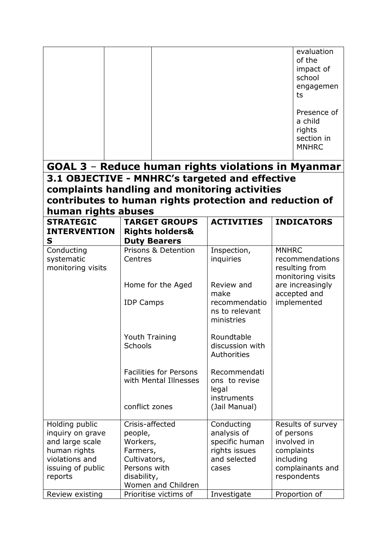|                                               |                                                         |                                                                     | evaluation<br>of the<br>impact of<br>school<br>engagemen<br>ts         |
|-----------------------------------------------|---------------------------------------------------------|---------------------------------------------------------------------|------------------------------------------------------------------------|
|                                               |                                                         |                                                                     | Presence of<br>a child<br>rights<br>section in<br><b>MNHRC</b>         |
|                                               | GOAL 3 - Reduce human rights violations in Myanmar      |                                                                     |                                                                        |
|                                               | 3.1 OBJECTIVE - MNHRC's targeted and effective          |                                                                     |                                                                        |
|                                               | complaints handling and monitoring activities           |                                                                     |                                                                        |
|                                               | contributes to human rights protection and reduction of |                                                                     |                                                                        |
| human rights abuses<br><b>STRATEGIC</b>       | <b>TARGET GROUPS</b>                                    | <b>ACTIVITIES</b>                                                   |                                                                        |
| <b>INTERVENTION</b><br>$\mathbf{s}$           | <b>Rights holders&amp;</b><br><b>Duty Bearers</b>       |                                                                     | <b>INDICATORS</b>                                                      |
| Conducting<br>systematic<br>monitoring visits | Prisons & Detention<br>Centres                          | Inspection,<br>inquiries                                            | <b>MNHRC</b><br>recommendations<br>resulting from<br>monitoring visits |
|                                               | Home for the Aged<br><b>IDP Camps</b>                   | Review and<br>make<br>recommendatio<br>ns to relevant<br>ministries | are increasingly<br>accepted and<br>implemented                        |
|                                               | Youth Training<br><b>Schools</b>                        | Roundtable<br>discussion with<br>Authorities                        |                                                                        |
|                                               | <b>Facilities for Persons</b><br>with Mental Illnesses  | Recommendati<br>ons to revise<br>legal<br><i>instruments</i>        |                                                                        |
|                                               | conflict zones                                          | (Jail Manual)                                                       |                                                                        |
| Holding public                                | Crisis-affected                                         | Conducting                                                          | Results of survey                                                      |
| inquiry on grave                              | people,                                                 | analysis of                                                         | of persons                                                             |
| and large scale                               | Workers,                                                | specific human                                                      | involved in                                                            |
| human rights<br>violations and                | Farmers,                                                | rights issues<br>and selected                                       | complaints<br>including                                                |
| issuing of public                             | Cultivators,<br>Persons with                            | cases                                                               | complainants and                                                       |
| reports                                       | disability,                                             |                                                                     | respondents                                                            |
|                                               | Women and Children                                      |                                                                     |                                                                        |
| Review existing                               | Prioritise victims of                                   | Investigate                                                         | Proportion of                                                          |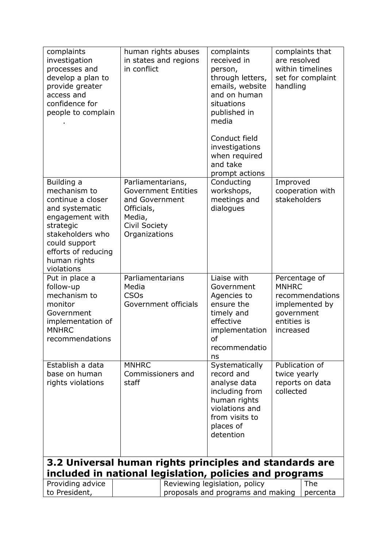| complaints<br>investigation<br>processes and<br>develop a plan to<br>provide greater<br>access and<br>confidence for<br>people to complain                                                  | in conflict                                                                                          | human rights abuses<br>in states and regions | complaints<br>received in<br>person,<br>through letters,<br>emails, website<br>and on human<br>situations<br>published in<br>media<br>Conduct field<br>investigations<br>when required<br>and take<br>prompt actions | complaints that<br>are resolved<br>within timelines<br>set for complaint<br>handling                         |
|---------------------------------------------------------------------------------------------------------------------------------------------------------------------------------------------|------------------------------------------------------------------------------------------------------|----------------------------------------------|----------------------------------------------------------------------------------------------------------------------------------------------------------------------------------------------------------------------|--------------------------------------------------------------------------------------------------------------|
| Building a<br>mechanism to<br>continue a closer<br>and systematic<br>engagement with<br>strategic<br>stakeholders who<br>could support<br>efforts of reducing<br>human rights<br>violations | Parliamentarians,<br>and Government<br>Officials,<br>Media,<br><b>Civil Society</b><br>Organizations | <b>Government Entities</b>                   | Conducting<br>workshops,<br>meetings and<br>dialogues                                                                                                                                                                | Improved<br>cooperation with<br>stakeholders                                                                 |
| Put in place a<br>follow-up<br>mechanism to<br>monitor<br>Government<br>implementation of<br><b>MNHRC</b><br>recommendations                                                                | Parliamentarians<br>Media<br><b>CSOs</b>                                                             | Government officials                         | Liaise with<br>Government<br>Agencies to<br>ensure the<br>timely and<br>effective<br>implementation<br>ot<br>recommendatio<br>ns                                                                                     | Percentage of<br><b>MNHRC</b><br>recommendations<br>implemented by<br>government<br>entities is<br>increased |
| Establish a data<br>base on human<br>rights violations                                                                                                                                      | <b>MNHRC</b><br>Commissioners and<br>staff                                                           |                                              | Systematically<br>record and<br>analyse data<br>including from<br>human rights<br>violations and<br>from visits to<br>places of<br>detention                                                                         | Publication of<br>twice yearly<br>reports on data<br>collected                                               |
| 3.2 Universal human rights principles and standards are<br>included in national legislation, policies and programs                                                                          |                                                                                                      |                                              |                                                                                                                                                                                                                      |                                                                                                              |
| Providing advice<br>to President,                                                                                                                                                           |                                                                                                      |                                              | Reviewing legislation, policy<br>proposals and programs and making                                                                                                                                                   | The<br>percenta                                                                                              |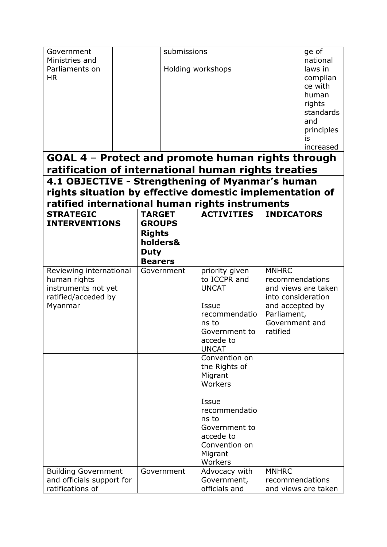| Government<br>Ministries and<br>Parliaments on<br><b>HR</b>                                                                                                     |                                                                                              | submissions<br>Holding workshops                                                                                                                             |                                                                                                                       |                     |
|-----------------------------------------------------------------------------------------------------------------------------------------------------------------|----------------------------------------------------------------------------------------------|--------------------------------------------------------------------------------------------------------------------------------------------------------------|-----------------------------------------------------------------------------------------------------------------------|---------------------|
| GOAL 4 - Protect and promote human rights through<br>ratification of international human rights treaties                                                        |                                                                                              |                                                                                                                                                              |                                                                                                                       |                     |
| 4.1 OBJECTIVE - Strengthening of Myanmar's human<br>rights situation by effective domestic implementation of<br>ratified international human rights instruments |                                                                                              |                                                                                                                                                              |                                                                                                                       |                     |
| <b>STRATEGIC</b><br><b>INTERVENTIONS</b>                                                                                                                        | <b>TARGET</b><br><b>GROUPS</b><br><b>Rights</b><br>holders&<br><b>Duty</b><br><b>Bearers</b> | <b>ACTIVITIES</b>                                                                                                                                            | <b>INDICATORS</b>                                                                                                     |                     |
| Reviewing international<br>human rights<br>instruments not yet<br>ratified/acceded by<br>Myanmar                                                                | Government                                                                                   | priority given<br>to ICCPR and<br><b>UNCAT</b><br>Issue<br>recommendatio<br>ns to<br>Government to<br>accede to<br><b>UNCAT</b>                              | <b>MNHRC</b><br>recommendations<br>into consideration<br>and accepted by<br>Parliament,<br>Government and<br>ratified | and views are taken |
|                                                                                                                                                                 |                                                                                              | Convention on<br>the Rights of<br>Migrant<br>Workers<br>Issue<br>recommendatio<br>ns to<br>Government to<br>accede to<br>Convention on<br>Migrant<br>Workers |                                                                                                                       |                     |
| <b>Building Government</b><br>and officials support for<br>ratifications of                                                                                     | Government                                                                                   | Advocacy with<br>Government,<br>officials and                                                                                                                | <b>MNHRC</b><br>recommendations                                                                                       | and views are taken |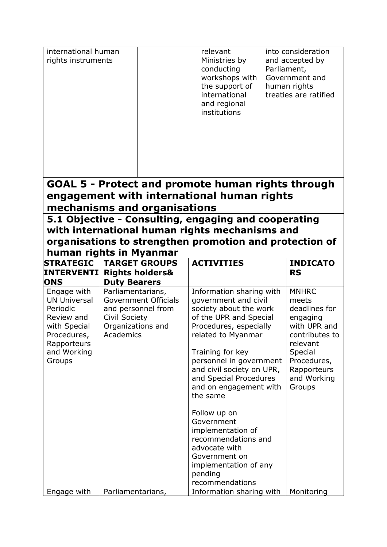| international human<br>rights instruments                                                                                           |                                                                                                                                                                                              | relevant<br>Ministries by<br>conducting<br>workshops with<br>the support of<br>international<br>and regional<br>institutions                                                                                                                                                                                     | Parliament, | into consideration<br>and accepted by<br>Government and<br>human rights<br>treaties are ratified                                                                   |
|-------------------------------------------------------------------------------------------------------------------------------------|----------------------------------------------------------------------------------------------------------------------------------------------------------------------------------------------|------------------------------------------------------------------------------------------------------------------------------------------------------------------------------------------------------------------------------------------------------------------------------------------------------------------|-------------|--------------------------------------------------------------------------------------------------------------------------------------------------------------------|
|                                                                                                                                     | <b>GOAL 5 - Protect and promote human rights through</b><br>engagement with international human rights<br>mechanisms and organisations                                                       |                                                                                                                                                                                                                                                                                                                  |             |                                                                                                                                                                    |
|                                                                                                                                     | 5.1 Objective - Consulting, engaging and cooperating<br>with international human rights mechanisms and<br>organisations to strengthen promotion and protection of<br>human rights in Myanmar |                                                                                                                                                                                                                                                                                                                  |             |                                                                                                                                                                    |
| <b>STRATEGIC</b><br><b>INTERVENTI</b><br><b>ONS</b>                                                                                 | <b>TARGET GROUPS</b><br><b>Rights holders&amp;</b><br><b>Duty Bearers</b>                                                                                                                    | <b>ACTIVITIES</b>                                                                                                                                                                                                                                                                                                |             | <b>INDICATO</b><br><b>RS</b>                                                                                                                                       |
| Engage with<br><b>UN Universal</b><br>Periodic<br>Review and<br>with Special<br>Procedures,<br>Rapporteurs<br>and Working<br>Groups | Parliamentarians,<br><b>Government Officials</b><br>and personnel from<br>Civil Society<br>Organizations and<br>Academics                                                                    | Information sharing with<br>government and civil<br>society about the work<br>of the UPR and Special<br>Procedures, especially<br>related to Myanmar<br>Training for key<br>personnel in government<br>and civil society on UPR,<br>and Special Procedures<br>and on engagement with<br>the same<br>Follow up on |             | <b>MNHRC</b><br>meets<br>deadlines for<br>engaging<br>with UPR and<br>contributes to<br>relevant<br>Special<br>Procedures,<br>Rapporteurs<br>and Working<br>Groups |
|                                                                                                                                     |                                                                                                                                                                                              | Government<br>implementation of<br>recommendations and<br>advocate with<br>Government on<br>implementation of any<br>pending<br>recommendations                                                                                                                                                                  |             |                                                                                                                                                                    |
| Engage with                                                                                                                         | Parliamentarians,                                                                                                                                                                            | Information sharing with                                                                                                                                                                                                                                                                                         |             | Monitoring                                                                                                                                                         |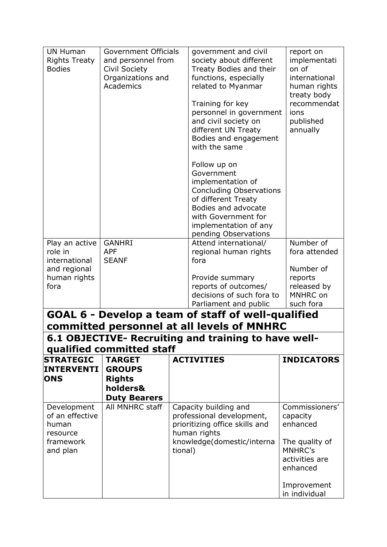| <b>UN Human</b><br><b>Rights Treaty</b><br><b>Bodies</b><br>Play an active<br>role in<br>international<br>and regional<br>human rights<br>fora | <b>Government Officials</b><br>and personnel from<br><b>Civil Society</b><br>Organizations and<br>Academics<br><b>GANHRI</b><br><b>APF</b><br><b>SEANF</b> | government and civil<br>society about different<br>Treaty Bodies and their<br>functions, especially<br>related to Myanmar<br>Training for key<br>personnel in government<br>and civil society on<br>different UN Treaty<br>Bodies and engagement<br>with the same<br>Follow up on<br>Government<br>implementation of<br><b>Concluding Observations</b><br>of different Treaty<br>Bodies and advocate<br>with Government for<br>implementation of any<br>pending Observations<br>Attend international/<br>regional human rights<br>fora<br>Provide summary<br>reports of outcomes/ | report on<br>implementati<br>on of<br>international<br>human rights<br>treaty body<br>recommendat<br>ions<br>published<br>annually<br>Number of<br>fora attended<br>Number of<br>reports<br>released by |
|------------------------------------------------------------------------------------------------------------------------------------------------|------------------------------------------------------------------------------------------------------------------------------------------------------------|-----------------------------------------------------------------------------------------------------------------------------------------------------------------------------------------------------------------------------------------------------------------------------------------------------------------------------------------------------------------------------------------------------------------------------------------------------------------------------------------------------------------------------------------------------------------------------------|---------------------------------------------------------------------------------------------------------------------------------------------------------------------------------------------------------|
|                                                                                                                                                |                                                                                                                                                            | decisions of such fora to<br>Parliament and public                                                                                                                                                                                                                                                                                                                                                                                                                                                                                                                                | MNHRC on<br>such fora                                                                                                                                                                                   |
|                                                                                                                                                |                                                                                                                                                            | GOAL 6 - Develop a team of staff of well-qualified                                                                                                                                                                                                                                                                                                                                                                                                                                                                                                                                |                                                                                                                                                                                                         |
|                                                                                                                                                |                                                                                                                                                            | committed personnel at all levels of MNHRC<br>6.1 OBJECTIVE- Recruiting and training to have well-                                                                                                                                                                                                                                                                                                                                                                                                                                                                                |                                                                                                                                                                                                         |
|                                                                                                                                                | qualified committed staff                                                                                                                                  |                                                                                                                                                                                                                                                                                                                                                                                                                                                                                                                                                                                   |                                                                                                                                                                                                         |
| <b>STRATEGIC</b><br><b>INTERVENTI</b><br><b>ONS</b>                                                                                            | <b>TARGET</b><br><b>GROUPS</b><br><b>Rights</b><br>holders&<br><b>Duty Bearers</b>                                                                         | <b>ACTIVITIES</b>                                                                                                                                                                                                                                                                                                                                                                                                                                                                                                                                                                 | <b>INDICATORS</b>                                                                                                                                                                                       |
| Development<br>of an effective<br>human<br>resource<br>framework<br>and plan                                                                   | All MNHRC staff                                                                                                                                            | Capacity building and<br>professional development,<br>prioritizing office skills and<br>human rights<br>knowledge(domestic/interna<br>tional)                                                                                                                                                                                                                                                                                                                                                                                                                                     | Commissioners'<br>capacity<br>enhanced<br>The quality of<br>MNHRC's<br>activities are<br>enhanced<br>Improvement<br>in individual                                                                       |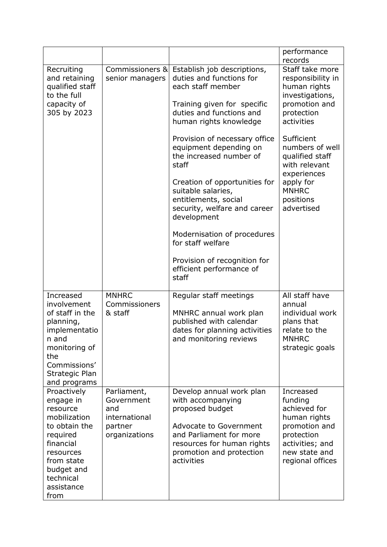|                                                                                                                                                                            |                                                                               |                                                                                                                                                                                                      | performance<br>records                                                                                                                      |
|----------------------------------------------------------------------------------------------------------------------------------------------------------------------------|-------------------------------------------------------------------------------|------------------------------------------------------------------------------------------------------------------------------------------------------------------------------------------------------|---------------------------------------------------------------------------------------------------------------------------------------------|
| Recruiting<br>and retaining<br>qualified staff<br>to the full<br>capacity of<br>305 by 2023                                                                                | Commissioners &<br>senior managers                                            | Establish job descriptions,<br>duties and functions for<br>each staff member<br>Training given for specific<br>duties and functions and<br>human rights knowledge                                    | Staff take more<br>responsibility in<br>human rights<br>investigations,<br>promotion and<br>protection<br>activities                        |
|                                                                                                                                                                            |                                                                               | Provision of necessary office<br>equipment depending on<br>the increased number of<br>staff                                                                                                          | Sufficient<br>numbers of well<br>qualified staff<br>with relevant<br>experiences                                                            |
|                                                                                                                                                                            |                                                                               | Creation of opportunities for<br>suitable salaries,<br>entitlements, social<br>security, welfare and career<br>development                                                                           | apply for<br><b>MNHRC</b><br>positions<br>advertised                                                                                        |
|                                                                                                                                                                            |                                                                               | Modernisation of procedures<br>for staff welfare                                                                                                                                                     |                                                                                                                                             |
|                                                                                                                                                                            |                                                                               | Provision of recognition for<br>efficient performance of<br>staff                                                                                                                                    |                                                                                                                                             |
| Increased<br>involvement<br>of staff in the<br>planning,<br>implementatio<br>n and<br>monitoring of<br>the<br>Commissions'<br>Strategic Plan<br>and programs               | <b>MNHRC</b><br>Commissioners<br>& staff                                      | Regular staff meetings<br>MNHRC annual work plan<br>published with calendar<br>dates for planning activities<br>and monitoring reviews                                                               | All staff have<br>annual<br>individual work<br>plans that<br>relate to the<br><b>MNHRC</b><br>strategic goals                               |
| Proactively<br>engage in<br>resource<br>mobilization<br>to obtain the<br>required<br>financial<br>resources<br>from state<br>budget and<br>technical<br>assistance<br>from | Parliament,<br>Government<br>and<br>international<br>partner<br>organizations | Develop annual work plan<br>with accompanying<br>proposed budget<br><b>Advocate to Government</b><br>and Parliament for more<br>resources for human rights<br>promotion and protection<br>activities | Increased<br>funding<br>achieved for<br>human rights<br>promotion and<br>protection<br>activities; and<br>new state and<br>regional offices |